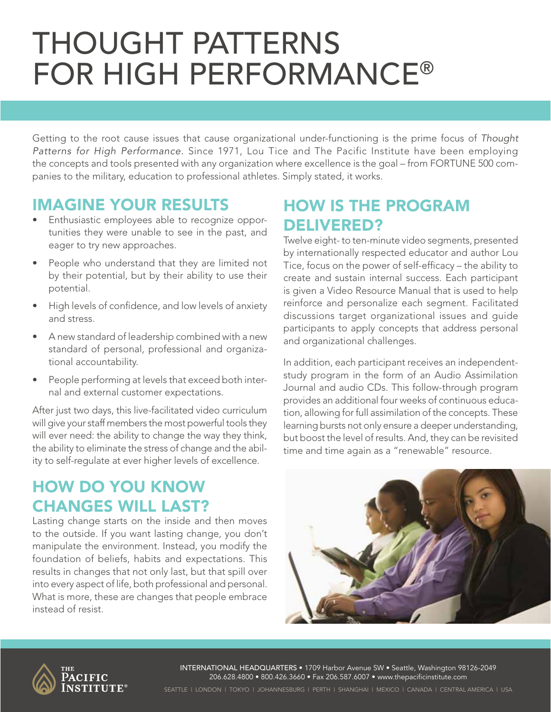# Thought Patterns for High Performance®

Getting to the root cause issues that cause organizational under-functioning is the prime focus of *Thought Patterns for High Performance.* Since 1971, Lou Tice and The Pacific Institute have been employing the concepts and tools presented with any organization where excellence is the goal – from FORTUNE 500 companies to the military, education to professional athletes. Simply stated, it works.

#### Imagine Your Results

- Enthusiastic employees able to recognize opportunities they were unable to see in the past, and eager to try new approaches.
- People who understand that they are limited not by their potential, but by their ability to use their potential.
- High levels of confidence, and low levels of anxiety and stress.
- A new standard of leadership combined with a new standard of personal, professional and organizational accountability.
- People performing at levels that exceed both internal and external customer expectations.

After just two days, this live-facilitated video curriculum will give your staff members the most powerful tools they will ever need: the ability to change the way they think, the ability to eliminate the stress of change and the ability to self-regulate at ever higher levels of excellence.

### How Do You Know Changes Will Last?

Lasting change starts on the inside and then moves to the outside. If you want lasting change, you don't manipulate the environment. Instead, you modify the foundation of beliefs, habits and expectations. This results in changes that not only last, but that spill over into every aspect of life, both professional and personal. What is more, these are changes that people embrace instead of resist.

### How Is The Program DELIVERED?

Twelve eight- to ten-minute video segments, presented by internationally respected educator and author Lou Tice, focus on the power of self-efficacy – the ability to create and sustain internal success. Each participant is given a Video Resource Manual that is used to help reinforce and personalize each segment. Facilitated discussions target organizational issues and guide participants to apply concepts that address personal and organizational challenges.

In addition, each participant receives an independentstudy program in the form of an Audio Assimilation Journal and audio CDs. This follow-through program provides an additional four weeks of continuous education, allowing for full assimilation of the concepts. These learning bursts not only ensure a deeper understanding, but boost the level of results. And, they can be revisited time and time again as a "renewable" resource.





International Headquarters • 1709 Harbor Avenue SW • Seattle, Washington 98126-2049 206.628.4800 • 800.426.3660 • Fax 206.587.6007 • www.thepacificinstitute.com

Seattle | London | Tokyo | Johannesburg | Perth | Shanghai | Mexico | Canada | Central America | USA